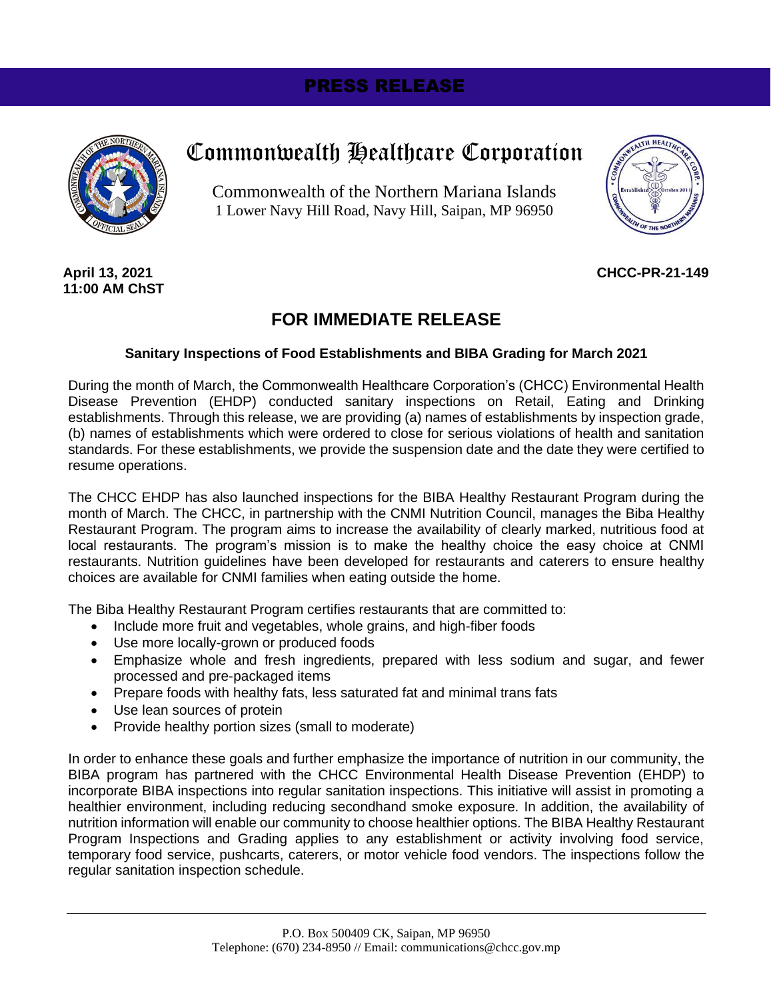# PRESS RELEASE



# Commonwealth Healthcare Corporation

Commonwealth of the Northern Mariana Islands 1 Lower Navy Hill Road, Navy Hill, Saipan, MP 96950



**April 13, 2021 11:00 AM ChST**

## **CHCC-PR-21-149**

# **FOR IMMEDIATE RELEASE**

#### **Sanitary Inspections of Food Establishments and BIBA Grading for March 2021**

During the month of March, the Commonwealth Healthcare Corporation's (CHCC) Environmental Health Disease Prevention (EHDP) conducted sanitary inspections on Retail, Eating and Drinking establishments. Through this release, we are providing (a) names of establishments by inspection grade, (b) names of establishments which were ordered to close for serious violations of health and sanitation standards. For these establishments, we provide the suspension date and the date they were certified to resume operations.

The CHCC EHDP has also launched inspections for the BIBA Healthy Restaurant Program during the month of March. The CHCC, in partnership with the CNMI Nutrition Council, manages the Biba Healthy Restaurant Program. The program aims to increase the availability of clearly marked, nutritious food at local restaurants. The program's mission is to make the healthy choice the easy choice at CNMI restaurants. Nutrition guidelines have been developed for restaurants and caterers to ensure healthy choices are available for CNMI families when eating outside the home.

The Biba Healthy Restaurant Program certifies restaurants that are committed to:

- Include more fruit and vegetables, whole grains, and high-fiber foods
- Use more locally-grown or produced foods
- Emphasize whole and fresh ingredients, prepared with less sodium and sugar, and fewer processed and pre-packaged items
- Prepare foods with healthy fats, less saturated fat and minimal trans fats
- Use lean sources of protein
- Provide healthy portion sizes (small to moderate)

In order to enhance these goals and further emphasize the importance of nutrition in our community, the BIBA program has partnered with the CHCC Environmental Health Disease Prevention (EHDP) to incorporate BIBA inspections into regular sanitation inspections. This initiative will assist in promoting a healthier environment, including reducing secondhand smoke exposure. In addition, the availability of nutrition information will enable our community to choose healthier options. The BIBA Healthy Restaurant Program Inspections and Grading applies to any establishment or activity involving food service, temporary food service, pushcarts, caterers, or motor vehicle food vendors. The inspections follow the regular sanitation inspection schedule.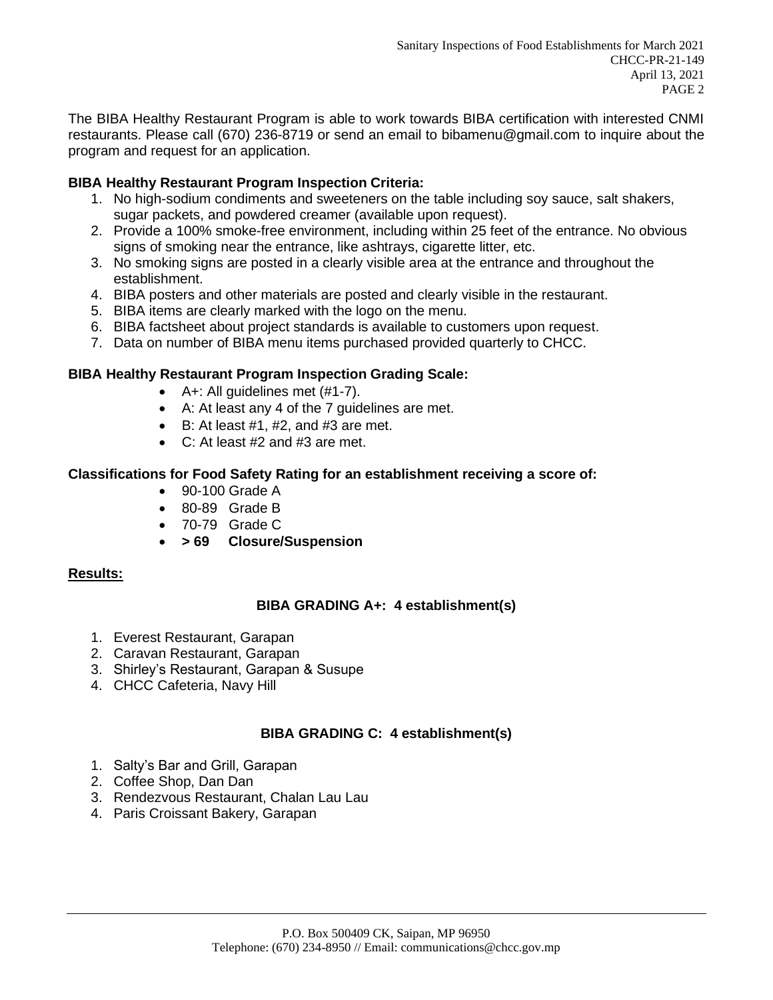The BIBA Healthy Restaurant Program is able to work towards BIBA certification with interested CNMI restaurants. Please call (670) 236-8719 or send an email to bibamenu@gmail.com to inquire about the program and request for an application.

# **BIBA Healthy Restaurant Program Inspection Criteria:**

- 1. No high-sodium condiments and sweeteners on the table including soy sauce, salt shakers, sugar packets, and powdered creamer (available upon request).
- 2. Provide a 100% smoke-free environment, including within 25 feet of the entrance. No obvious signs of smoking near the entrance, like ashtrays, cigarette litter, etc.
- 3. No smoking signs are posted in a clearly visible area at the entrance and throughout the establishment.
- 4. BIBA posters and other materials are posted and clearly visible in the restaurant.
- 5. BIBA items are clearly marked with the logo on the menu.
- 6. BIBA factsheet about project standards is available to customers upon request.
- 7. Data on number of BIBA menu items purchased provided quarterly to CHCC.

#### **BIBA Healthy Restaurant Program Inspection Grading Scale:**

- A+: All guidelines met (#1-7).
- A: At least any 4 of the 7 guidelines are met.
- $\bullet$  B: At least #1, #2, and #3 are met.
- C: At least #2 and #3 are met.

#### **Classifications for Food Safety Rating for an establishment receiving a score of:**

- 90-100 Grade A
- 80-89 Grade B
- 70-79 Grade C
- **> 69 Closure/Suspension**

#### **Results:**

#### **BIBA GRADING A+: 4 establishment(s)**

- 1. Everest Restaurant, Garapan
- 2. Caravan Restaurant, Garapan
- 3. Shirley's Restaurant, Garapan & Susupe
- 4. CHCC Cafeteria, Navy Hill

#### **BIBA GRADING C: 4 establishment(s)**

- 1. Salty's Bar and Grill, Garapan
- 2. Coffee Shop, Dan Dan
- 3. Rendezvous Restaurant, Chalan Lau Lau
- 4. Paris Croissant Bakery, Garapan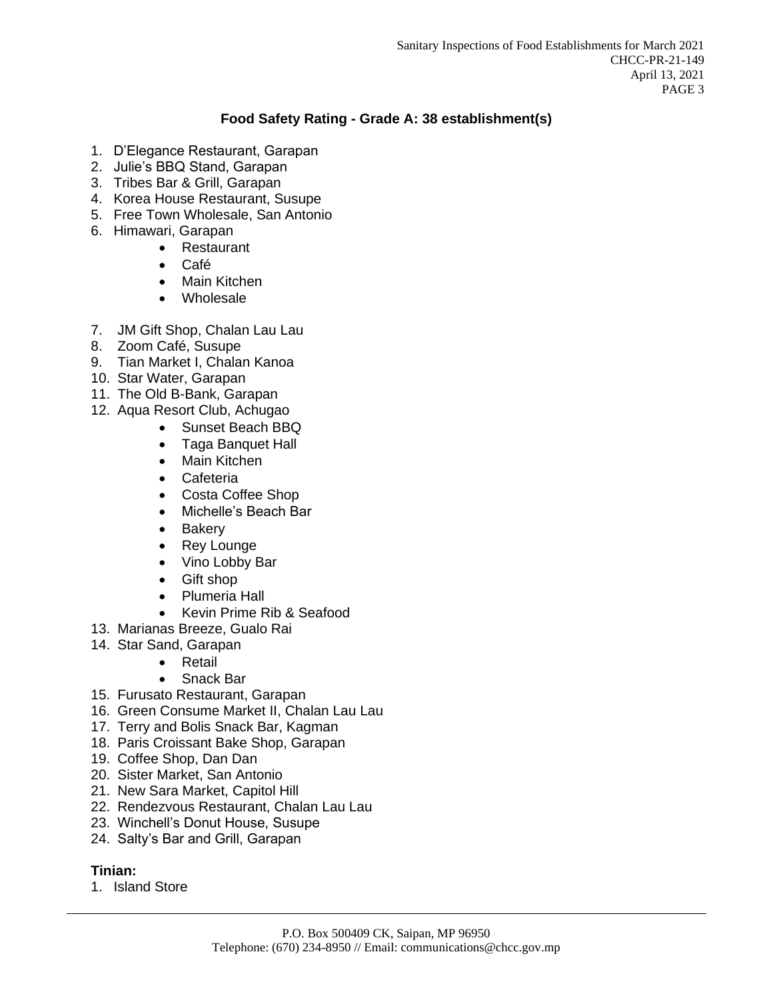# **Food Safety Rating - Grade A: 38 establishment(s)**

- 1. D'Elegance Restaurant, Garapan
- 2. Julie's BBQ Stand, Garapan
- 3. Tribes Bar & Grill, Garapan
- 4. Korea House Restaurant, Susupe
- 5. Free Town Wholesale, San Antonio
- 6. Himawari, Garapan
	- Restaurant
	- Café
	- Main Kitchen
	- Wholesale
- 7. JM Gift Shop, Chalan Lau Lau
- 8. Zoom Café, Susupe
- 9. Tian Market I, Chalan Kanoa
- 10. Star Water, Garapan
- 11. The Old B-Bank, Garapan
- 12. Aqua Resort Club, Achugao
	- Sunset Beach BBQ
	- Taga Banquet Hall
	- Main Kitchen
	- Cafeteria
	- Costa Coffee Shop
	- Michelle's Beach Bar
	- Bakery
	- Rey Lounge
	- Vino Lobby Bar
	- Gift shop
	- Plumeria Hall
	- Kevin Prime Rib & Seafood
- 13. Marianas Breeze, Gualo Rai
- 14. Star Sand, Garapan
	- Retail
	- Snack Bar
- 15. Furusato Restaurant, Garapan
- 16. Green Consume Market II, Chalan Lau Lau
- 17. Terry and Bolis Snack Bar, Kagman
- 18. Paris Croissant Bake Shop, Garapan
- 19. Coffee Shop, Dan Dan
- 20. Sister Market, San Antonio
- 21. New Sara Market, Capitol Hill
- 22. Rendezvous Restaurant, Chalan Lau Lau
- 23. Winchell's Donut House, Susupe
- 24. Salty's Bar and Grill, Garapan

#### **Tinian:**

1. Island Store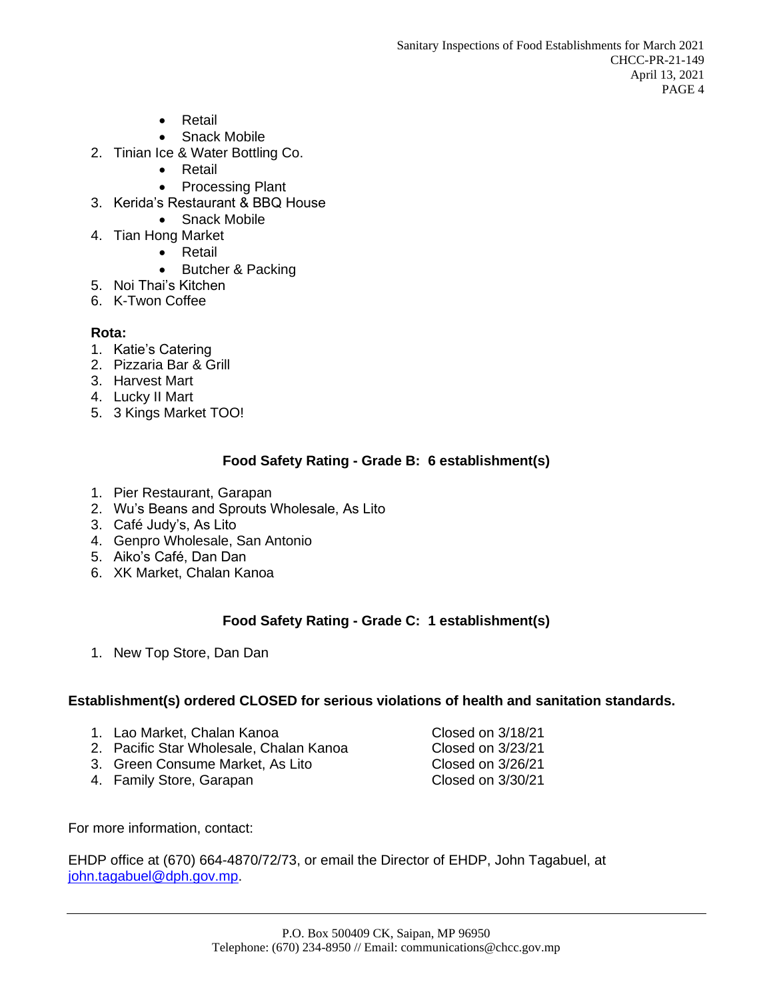- Retail
- Snack Mobile
- 2. Tinian Ice & Water Bottling Co.
	- Retail
	- Processing Plant
- 3. Kerida's Restaurant & BBQ House
	- Snack Mobile
- 4. Tian Hong Market
	- Retail
	- Butcher & Packing
- 5. Noi Thai's Kitchen
- 6. K-Twon Coffee

## **Rota:**

- 1. Katie's Catering
- 2. Pizzaria Bar & Grill
- 3. Harvest Mart
- 4. Lucky II Mart
- 5. 3 Kings Market TOO!

## **Food Safety Rating - Grade B: 6 establishment(s)**

- 1. Pier Restaurant, Garapan
- 2. Wu's Beans and Sprouts Wholesale, As Lito
- 3. Café Judy's, As Lito
- 4. Genpro Wholesale, San Antonio
- 5. Aiko's Café, Dan Dan
- 6. XK Market, Chalan Kanoa

# **Food Safety Rating - Grade C: 1 establishment(s)**

1. New Top Store, Dan Dan

#### **Establishment(s) ordered CLOSED for serious violations of health and sanitation standards.**

- 1. Lao Market, Chalan Kanoa Charlessen Closed on 3/18/21
- 2. Pacific Star Wholesale, Chalan Kanoa Closed on 3/23/21
- 3. Green Consume Market, As Lito Closed on 3/26/21
- 4. Family Store, Garapan Closed on 3/30/21

For more information, contact:

EHDP office at (670) 664-4870/72/73, or email the Director of EHDP, John Tagabuel, at [john.tagabuel@dph.gov.mp.](mailto:john.tagabuel@dph.gov.mp)